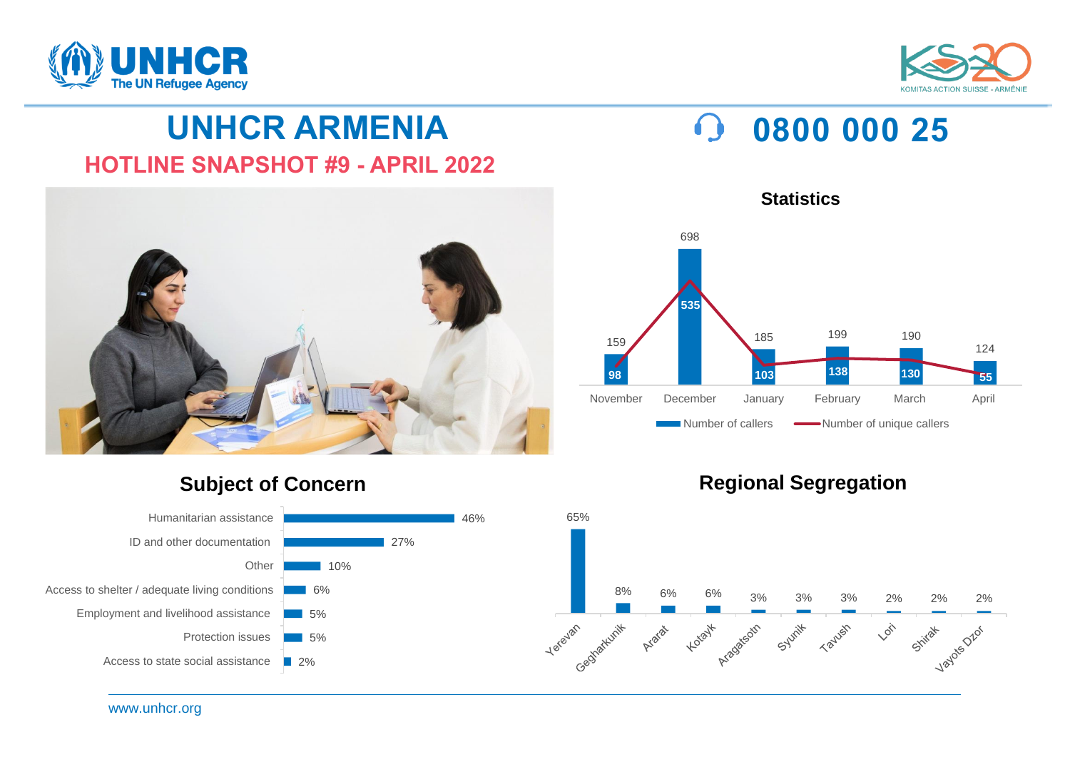



## **UNHCR ARMENIA**

## **HOTLINE SNAPSHOT #9 - APRIL 2022**





 $\Omega$ 

**Regional Segregation**

Number of callers **Number** of unique callers

November December January February March April

**0800 000 25**

## **Subject of Concern**



www.unhcr.org